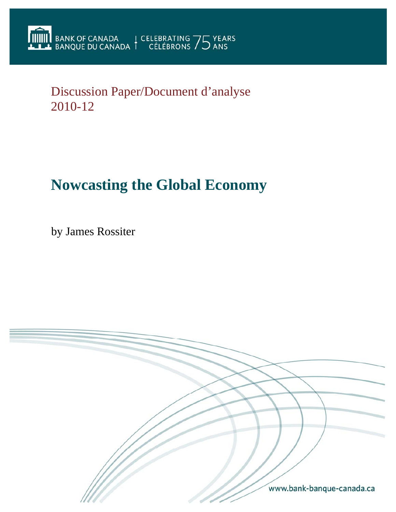Discussion Paper/Document d'analyse 2010-12

# **Nowcasting the Global Economy**

by James Rossiter

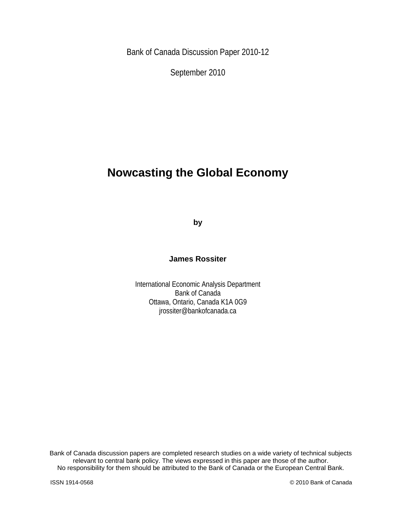Bank of Canada Discussion Paper 2010-12

September 2010

## **Nowcasting the Global Economy**

**by** 

**James Rossiter** 

International Economic Analysis Department Bank of Canada Ottawa, Ontario, Canada K1A 0G9 jrossiter@bankofcanada.ca

Bank of Canada discussion papers are completed research studies on a wide variety of technical subjects relevant to central bank policy. The views expressed in this paper are those of the author. No responsibility for them should be attributed to the Bank of Canada or the European Central Bank.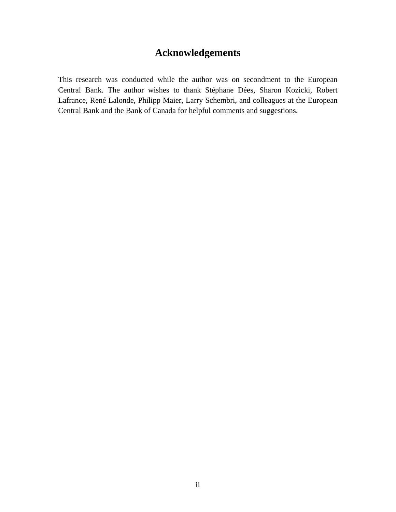## **Acknowledgements**

This research was conducted while the author was on secondment to the European Central Bank. The author wishes to thank Stéphane Dées, Sharon Kozicki, Robert Lafrance, René Lalonde, Philipp Maier, Larry Schembri, and colleagues at the European Central Bank and the Bank of Canada for helpful comments and suggestions.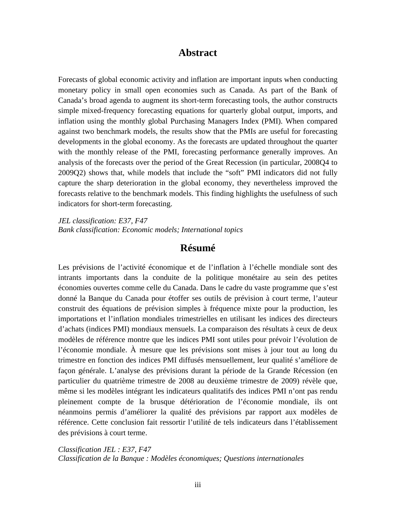### **Abstract**

Forecasts of global economic activity and inflation are important inputs when conducting monetary policy in small open economies such as Canada. As part of the Bank of Canada's broad agenda to augment its short-term forecasting tools, the author constructs simple mixed-frequency forecasting equations for quarterly global output, imports, and inflation using the monthly global Purchasing Managers Index (PMI). When compared against two benchmark models, the results show that the PMIs are useful for forecasting developments in the global economy. As the forecasts are updated throughout the quarter with the monthly release of the PMI, forecasting performance generally improves. An analysis of the forecasts over the period of the Great Recession (in particular, 2008Q4 to 2009Q2) shows that, while models that include the "soft" PMI indicators did not fully capture the sharp deterioration in the global economy, they nevertheless improved the forecasts relative to the benchmark models. This finding highlights the usefulness of such indicators for short-term forecasting.

*JEL classification: E37, F47 Bank classification: Economic models; International topics* 

## **Résumé**

Les prévisions de l'activité économique et de l'inflation à l'échelle mondiale sont des intrants importants dans la conduite de la politique monétaire au sein des petites économies ouvertes comme celle du Canada. Dans le cadre du vaste programme que s'est donné la Banque du Canada pour étoffer ses outils de prévision à court terme, l'auteur construit des équations de prévision simples à fréquence mixte pour la production, les importations et l'inflation mondiales trimestrielles en utilisant les indices des directeurs d'achats (indices PMI) mondiaux mensuels. La comparaison des résultats à ceux de deux modèles de référence montre que les indices PMI sont utiles pour prévoir l'évolution de l'économie mondiale. À mesure que les prévisions sont mises à jour tout au long du trimestre en fonction des indices PMI diffusés mensuellement, leur qualité s'améliore de façon générale. L'analyse des prévisions durant la période de la Grande Récession (en particulier du quatrième trimestre de 2008 au deuxième trimestre de 2009) révèle que, même si les modèles intégrant les indicateurs qualitatifs des indices PMI n'ont pas rendu pleinement compte de la brusque détérioration de l'économie mondiale, ils ont néanmoins permis d'améliorer la qualité des prévisions par rapport aux modèles de référence. Cette conclusion fait ressortir l'utilité de tels indicateurs dans l'établissement des prévisions à court terme.

*Classification JEL : E37, F47 Classification de la Banque : Modèles économiques; Questions internationales*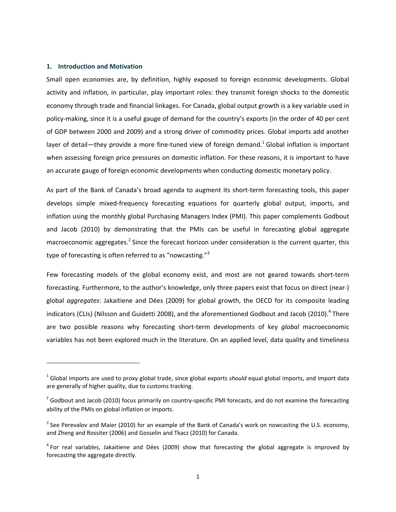#### **1. Introduction and Motivation**

Small open economies are, by definition, highly exposed to foreign economic developments. Global activity and inflation, in particular, play important roles: they transmit foreign shocks to the domestic economy through trade and financial linkages. For Canada, global output growth is a key variable used in policy‐making, since it is a useful gauge of demand for the country's exports (in the order of 40 per cent of GDP between 2000 and 2009) and a strong driver of commodity prices. Global imports add another layer of detail—they provide a more fine-tuned view of foreign demand.<sup>1</sup> Global inflation is important when assessing foreign price pressures on domestic inflation. For these reasons, it is important to have an accurate gauge of foreign economic developments when conducting domestic monetary policy.

As part of the Bank of Canada's broad agenda to augment its short-term forecasting tools, this paper develops simple mixed‐frequency forecasting equations for quarterly global output, imports, and inflation using the monthly global Purchasing Managers Index (PMI). This paper complements Godbout and Jacob (2010) by demonstrating that the PMIs can be useful in forecasting global aggregate macroeconomic aggregates.<sup>2</sup> Since the forecast horizon under consideration is the current quarter, this type of forecasting is often referred to as "nowcasting."<sup>3</sup>

Few forecasting models of the global economy exist, and most are not geared towards short-term forecasting. Furthermore, to the author's knowledge, only three papers exist that focus on direct (near‐) global *aggregates*: Jakaitiene and Dées (2009) for global growth, the OECD for its composite leading indicators (CLIs) (Nilsson and Guidetti 2008), and the aforementioned Godbout and Jacob (2010).<sup>4</sup> There are two possible reasons why forecasting short‐term developments of key *global* macroeconomic variables has not been explored much in the literature. On an applied level, data quality and timeliness

<sup>1</sup> Global imports are used to proxy global trade, since global exports *should* equal global imports, and import data are generally of higher quality, due to customs tracking.

<sup>&</sup>lt;sup>2</sup> Godbout and Jacob (2010) focus primarily on country-specific PMI forecasts, and do not examine the forecasting ability of the PMIs on global inflation or imports.

 $3$  See Perevalov and Maier (2010) for an example of the Bank of Canada's work on nowcasting the U.S. economy, and Zheng and Rossiter (2006) and Gosselin and Tkacz (2010) for Canada.

 $<sup>4</sup>$  For real variables, Jakaitiene and Dées (2009) show that forecasting the global aggregate is improved by</sup> forecasting the aggregate directly.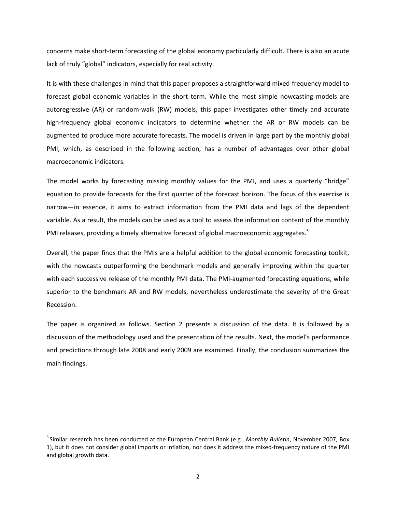concerns make short-term forecasting of the global economy particularly difficult. There is also an acute lack of truly "global" indicators, especially for real activity.

It is with these challenges in mind that this paper proposes a straightforward mixed‐frequency model to forecast global economic variables in the short term. While the most simple nowcasting models are autoregressive (AR) or random‐walk (RW) models, this paper investigates other timely and accurate high-frequency global economic indicators to determine whether the AR or RW models can be augmented to produce more accurate forecasts. The model is driven in large part by the monthly global PMI, which, as described in the following section, has a number of advantages over other global macroeconomic indicators.

The model works by forecasting missing monthly values for the PMI, and uses a quarterly "bridge" equation to provide forecasts for the first quarter of the forecast horizon. The focus of this exercise is narrow—in essence, it aims to extract information from the PMI data and lags of the dependent variable. As a result, the models can be used as a tool to assess the information content of the monthly PMI releases, providing a timely alternative forecast of global macroeconomic aggregates.<sup>5</sup>

Overall, the paper finds that the PMIs are a helpful addition to the global economic forecasting toolkit, with the nowcasts outperforming the benchmark models and generally improving within the quarter with each successive release of the monthly PMI data. The PMI-augmented forecasting equations, while superior to the benchmark AR and RW models, nevertheless underestimate the severity of the Great Recession.

The paper is organized as follows. Section 2 presents a discussion of the data. It is followed by a discussion of the methodology used and the presentation of the results. Next, the model's performance and predictions through late 2008 and early 2009 are examined. Finally, the conclusion summarizes the main findings.

<sup>5</sup> Similar research has been conducted at the European Central Bank (e.g., *Monthly Bulletin*, November 2007, Box 1), but it does not consider global imports or inflation, nor does it address the mixed‐frequency nature of the PMI and global growth data.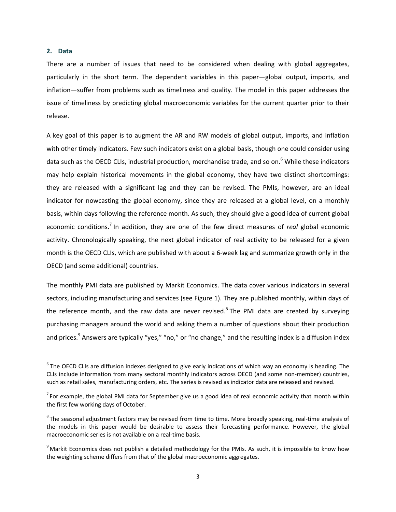#### **2. Data**

There are a number of issues that need to be considered when dealing with global aggregates, particularly in the short term. The dependent variables in this paper—global output, imports, and inflation—suffer from problems such as timeliness and quality. The model in this paper addresses the issue of timeliness by predicting global macroeconomic variables for the current quarter prior to their release.

A key goal of this paper is to augment the AR and RW models of global output, imports, and inflation with other timely indicators. Few such indicators exist on a global basis, though one could consider using data such as the OECD CLIs, industrial production, merchandise trade, and so on.<sup>6</sup> While these indicators may help explain historical movements in the global economy, they have two distinct shortcomings: they are released with a significant lag and they can be revised. The PMIs, however, are an ideal indicator for nowcasting the global economy, since they are released at a global level, on a monthly basis, within days following the reference month. As such, they should give a good idea of current global economic conditions.<sup>7</sup> In addition, they are one of the few direct measures of *real* global economic activity. Chronologically speaking, the next global indicator of real activity to be released for a given month is the OECD CLIs, which are published with about a 6‐week lag and summarize growth only in the OECD (and some additional) countries.

The monthly PMI data are published by Markit Economics. The data cover various indicators in several sectors, including manufacturing and services (see Figure 1). They are published monthly, within days of the reference month, and the raw data are never revised.<sup>8</sup> The PMI data are created by surveying purchasing managers around the world and asking them a number of questions about their production and prices.<sup>9</sup> Answers are typically "yes," "no," or "no change," and the resulting index is a diffusion index

 $6$  The OECD CLIs are diffusion indexes designed to give early indications of which way an economy is heading. The CLIs include information from many sectoral monthly indicators across OECD (and some non‐member) countries, such as retail sales, manufacturing orders, etc. The series is revised as indicator data are released and revised.

 $^7$  For example, the global PMI data for September give us a good idea of real economic activity that month within the first few working days of October.

 ${}^{8}$ The seasonal adjustment factors may be revised from time to time. More broadly speaking, real-time analysis of the models in this paper would be desirable to assess their forecasting performance. However, the global macroeconomic series is not available on a real‐time basis.

 $^9$ Markit Economics does not publish a detailed methodology for the PMIs. As such, it is impossible to know how the weighting scheme differs from that of the global macroeconomic aggregates.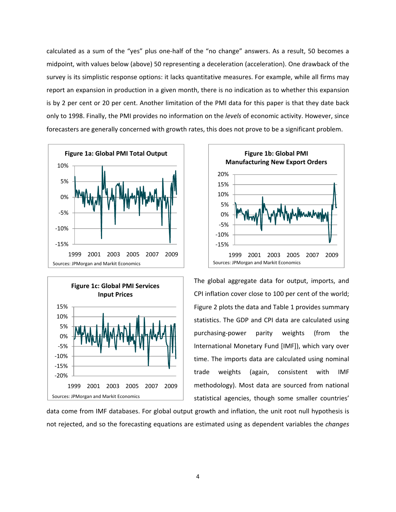calculated as a sum of the "yes" plus one‐half of the "no change" answers. As a result, 50 becomes a midpoint, with values below (above) 50 representing a deceleration (acceleration). One drawback of the survey is its simplistic response options: it lacks quantitative measures. For example, while all firms may report an expansion in production in a given month, there is no indication as to whether this expansion is by 2 per cent or 20 per cent. Another limitation of the PMI data for this paper is that they date back only to 1998. Finally, the PMI provides no information on the *levels* of economic activity. However, since forecasters are generally concerned with growth rates, this does not prove to be a significant problem.







The global aggregate data for output, imports, and CPI inflation cover close to 100 per cent of the world; Figure 2 plots the data and Table 1 provides summary statistics. The GDP and CPI data are calculated using purchasing‐power parity weights (from the International Monetary Fund [IMF]), which vary over time. The imports data are calculated using nominal trade weights (again, consistent with IMF methodology). Most data are sourced from national statistical agencies, though some smaller countries'

data come from IMF databases. For global output growth and inflation, the unit root null hypothesis is not rejected, and so the forecasting equations are estimated using as dependent variables the *changes*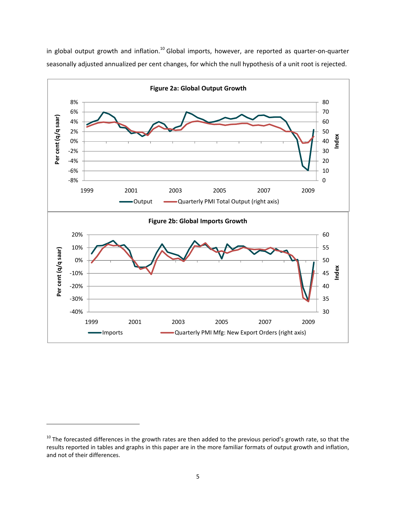

in global output growth and inflation.<sup>10</sup> Global imports, however, are reported as quarter-on-quarter seasonally adjusted annualized per cent changes, for which the null hypothesis of a unit root is rejected.

 $10$  The forecasted differences in the growth rates are then added to the previous period's growth rate, so that the results reported in tables and graphs in this paper are in the more familiar formats of output growth and inflation, and not of their differences.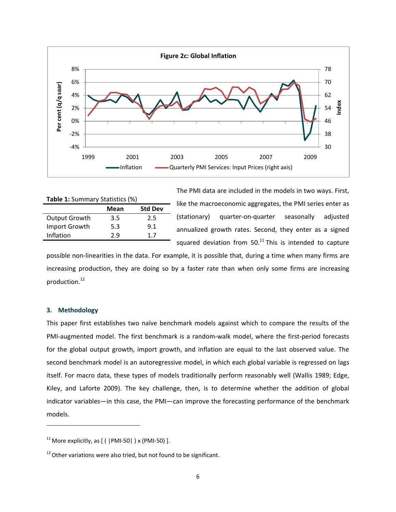

| <b>Table 1:</b> Summary Statistics (%) |      |                |  |  |  |
|----------------------------------------|------|----------------|--|--|--|
|                                        | Mean | <b>Std Dev</b> |  |  |  |
| <b>Output Growth</b>                   | 3.5  | 2.5            |  |  |  |
| Import Growth                          | 5.3  | 9.1            |  |  |  |
| Inflation                              | 2.9  | 17             |  |  |  |
|                                        |      |                |  |  |  |

The PMI data are included in the models in two ways. First, like the macroeconomic aggregates, the PMI series enter as (stationary) quarter‐on‐quarter seasonally adjusted annualized growth rates. Second, they enter as a signed squared deviation from  $50<sup>11</sup>$  This is intended to capture

possible non-linearities in the data. For example, it is possible that, during a time when many firms are increasing production, they are doing so by a faster rate than when only some firms are increasing production.<sup>12</sup>

#### **3. Methodology**

This paper first establishes two naïve benchmark models against which to compare the results of the PMI‐augmented model. The first benchmark is a random‐walk model, where the first‐period forecasts for the global output growth, import growth, and inflation are equal to the last observed value. The second benchmark model is an autoregressive model, in which each global variable is regressed on lags itself. For macro data, these types of models traditionally perform reasonably well (Wallis 1989; Edge, Kiley, and Laforte 2009). The key challenge, then, is to determine whether the addition of global indicator variables—in this case, the PMI—can improve the forecasting performance of the benchmark models.

 $11$  More explicitly, as [ (  $|PMI-50|$  ) x (PMI-50) ].

 $12$  Other variations were also tried, but not found to be significant.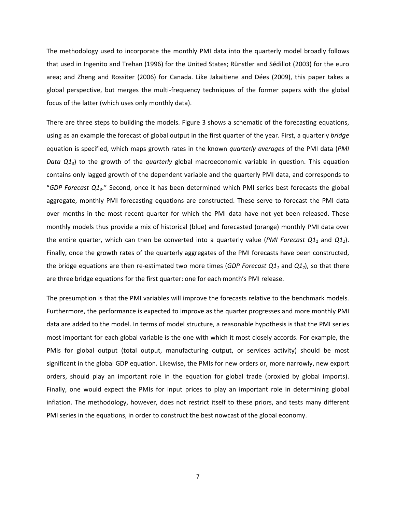The methodology used to incorporate the monthly PMI data into the quarterly model broadly follows that used in Ingenito and Trehan (1996) for the United States; Rünstler and Sédillot (2003) for the euro area; and Zheng and Rossiter (2006) for Canada. Like Jakaitiene and Dées (2009), this paper takes a global perspective, but merges the multi‐frequency techniques of the former papers with the global focus of the latter (which uses only monthly data).

There are three steps to building the models. Figure 3 shows a schematic of the forecasting equations, using as an example the forecast of global output in the first quarter of the year. First, a quarterly *bridge* equation is specified, which maps growth rates in the known *quarterly averages* of the PMI data (*PMI Data Q13*) to the growth of the *quarterly* global macroeconomic variable in question. This equation contains only lagged growth of the dependent variable and the quarterly PMI data, and corresponds to "*GDP Forecast Q13*." Second, once it has been determined which PMI series best forecasts the global aggregate, monthly PMI forecasting equations are constructed. These serve to forecast the PMI data over months in the most recent quarter for which the PMI data have not yet been released. These monthly models thus provide a mix of historical (blue) and forecasted (orange) monthly PMI data over the entire quarter, which can then be converted into a quarterly value (*PMI Forecast*  $Q_1$  and  $Q_2$ ). Finally, once the growth rates of the quarterly aggregates of the PMI forecasts have been constructed, the bridge equations are then re‐estimated two more times (*GDP Forecast Q11* and *Q12*), so that there are three bridge equations for the first quarter: one for each month's PMI release.

The presumption is that the PMI variables will improve the forecasts relative to the benchmark models. Furthermore, the performance is expected to improve as the quarter progresses and more monthly PMI data are added to the model. In terms of model structure, a reasonable hypothesis is that the PMI series most important for each global variable is the one with which it most closely accords. For example, the PMIs for global output (total output, manufacturing output, or services activity) should be most significant in the global GDP equation. Likewise, the PMIs for new orders or, more narrowly, new export orders, should play an important role in the equation for global trade (proxied by global imports). Finally, one would expect the PMIs for input prices to play an important role in determining global inflation. The methodology, however, does not restrict itself to these priors, and tests many different PMI series in the equations, in order to construct the best nowcast of the global economy.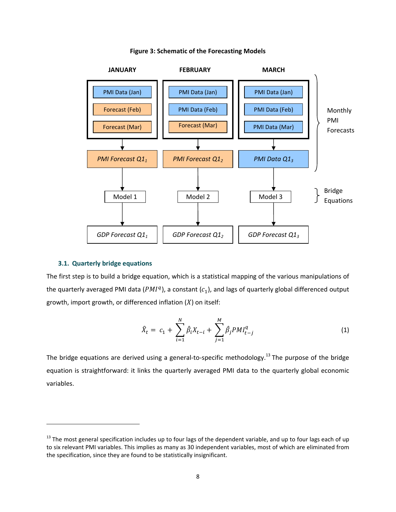

#### **Figure 3: Schematic of the Forecasting Models**

#### **3.1. Quarterly bridge equations**

The first step is to build a bridge equation, which is a statistical mapping of the various manipulations of the quarterly averaged PMI data ( $PMI<sup>q</sup>$ ), a constant ( $c<sub>1</sub>$ ), and lags of quarterly global differenced output growth, import growth, or differenced inflation  $(X)$  on itself:

$$
\hat{X}_t = c_1 + \sum_{i=1}^N \hat{\beta}_i X_{t-i} + \sum_{j=1}^M \hat{\beta}_j PMI_{t-j}^q
$$
\n(1)

The bridge equations are derived using a general-to-specific methodology.<sup>13</sup> The purpose of the bridge equation is straightforward: it links the quarterly averaged PMI data to the quarterly global economic variables.

<sup>&</sup>lt;sup>13</sup> The most general specification includes up to four lags of the dependent variable, and up to four lags each of up to six relevant PMI variables. This implies as many as 30 independent variables, most of which are eliminated from the specification, since they are found to be statistically insignificant.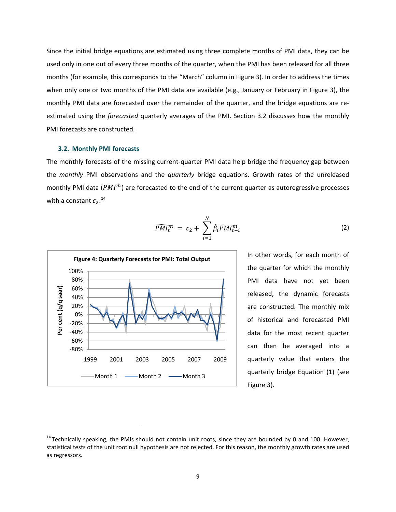Since the initial bridge equations are estimated using three complete months of PMI data, they can be used only in one out of every three months of the quarter, when the PMI has been released for all three months (for example, this corresponds to the "March" column in Figure 3). In order to address the times when only one or two months of the PMI data are available (e.g., January or February in Figure 3), the monthly PMI data are forecasted over the remainder of the quarter, and the bridge equations are reestimated using the *forecasted* quarterly averages of the PMI. Section 3.2 discusses how the monthly PMI forecasts are constructed.

#### **3.2. Monthly PMI forecasts**

The monthly forecasts of the missing current‐quarter PMI data help bridge the frequency gap between the *monthly* PMI observations and the *quarterly* bridge equations. Growth rates of the unreleased monthly PMI data ( $PMI<sup>m</sup>$ ) are forecasted to the end of the current quarter as autoregressive processes with a constant  $c_2:^{14}$ 

$$
\widehat{PMI}_t^m = c_2 + \sum_{i=1}^N \widehat{\beta}_i PMI_{t-i}^m \tag{2}
$$



In other words, for each month of the quarter for which the monthly PMI data have not yet been released, the dynamic forecasts are constructed. The monthly mix of historical and forecasted PMI data for the most recent quarter can then be averaged into a quarterly value that enters the quarterly bridge Equation (1) (see Figure 3).

<sup>&</sup>lt;sup>14</sup> Technically speaking, the PMIs should not contain unit roots, since they are bounded by 0 and 100. However, statistical tests of the unit root null hypothesis are not rejected. For this reason, the monthly growth rates are used as regressors.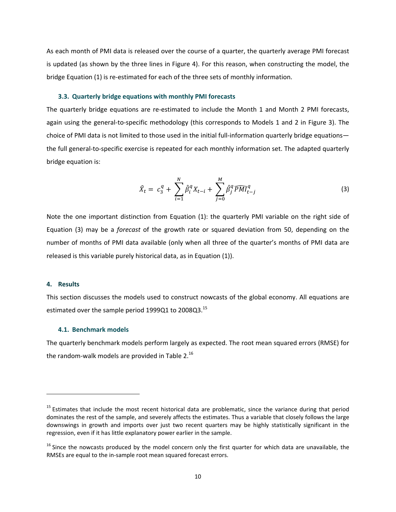As each month of PMI data is released over the course of a quarter, the quarterly average PMI forecast is updated (as shown by the three lines in Figure 4). For this reason, when constructing the model, the bridge Equation (1) is re‐estimated for each of the three sets of monthly information.

#### **3.3. Quarterly bridge equations with monthly PMI forecasts**

The quarterly bridge equations are re-estimated to include the Month 1 and Month 2 PMI forecasts, again using the general‐to‐specific methodology (this corresponds to Models 1 and 2 in Figure 3). The choice of PMI data is not limited to those used in the initial full-information quarterly bridge equations the full general‐to‐specific exercise is repeated for each monthly information set. The adapted quarterly bridge equation is:

$$
\hat{X}_t = c_3^q + \sum_{i=1}^N \hat{\beta}_i^q X_{t-i} + \sum_{j=0}^M \hat{\beta}_j^q \widehat{PMI}_{t-j}^q
$$
\n(3)

Note the one important distinction from Equation (1): the quarterly PMI variable on the right side of Equation (3) may be a *forecast* of the growth rate or squared deviation from 50, depending on the number of months of PMI data available (only when all three of the quarter's months of PMI data are released is this variable purely historical data, as in Equation (1)).

#### **4. Results**

This section discusses the models used to construct nowcasts of the global economy. All equations are estimated over the sample period 1999Q1 to 2008Q3.<sup>15</sup>

#### **4.1. Benchmark models**

The quarterly benchmark models perform largely as expected. The root mean squared errors (RMSE) for the random-walk models are provided in Table 2. $^{16}$ 

<sup>&</sup>lt;sup>15</sup> Estimates that include the most recent historical data are problematic, since the variance during that period dominates the rest of the sample, and severely affects the estimates. Thus a variable that closely follows the large downswings in growth and imports over just two recent quarters may be highly statistically significant in the regression, even if it has little explanatory power earlier in the sample.

 $16$  Since the nowcasts produced by the model concern only the first quarter for which data are unavailable, the RMSEs are equal to the in‐sample root mean squared forecast errors.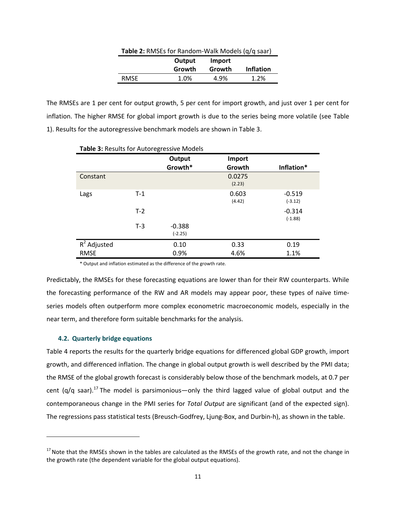| Table 2: RMSEs for Random-Walk Models (q/q saar) |        |        |                  |
|--------------------------------------------------|--------|--------|------------------|
|                                                  | Output | Import |                  |
|                                                  | Growth | Growth | <b>Inflation</b> |
| RMSE                                             | 1.0%   | 4.9%   | 1.2%             |

The RMSEs are 1 per cent for output growth, 5 per cent for import growth, and just over 1 per cent for inflation. The higher RMSE for global import growth is due to the series being more volatile (see Table 1). Results for the autoregressive benchmark models are shown in Table 3.

| Table 3: Results for Autoregressive Models |       |                       |                  |                       |  |
|--------------------------------------------|-------|-----------------------|------------------|-----------------------|--|
|                                            |       | Output<br>Growth*     | Import<br>Growth | Inflation*            |  |
| Constant                                   |       |                       | 0.0275<br>(2.23) |                       |  |
| Lags                                       | $T-1$ |                       | 0.603<br>(4.42)  | $-0.519$<br>$(-3.12)$ |  |
|                                            | $T-2$ |                       |                  | $-0.314$<br>$(-1.88)$ |  |
|                                            | $T-3$ | $-0.388$<br>$(-2.25)$ |                  |                       |  |
| $R^2$ Adjusted                             |       | 0.10                  | 0.33             | 0.19                  |  |
| <b>RMSE</b>                                |       | 0.9%                  | 4.6%             | 1.1%                  |  |

\* Output and inflation estimated as the difference of the growth rate.

Predictably, the RMSEs for these forecasting equations are lower than for their RW counterparts. While the forecasting performance of the RW and AR models may appear poor, these types of naïve time‐ series models often outperform more complex econometric macroeconomic models, especially in the near term, and therefore form suitable benchmarks for the analysis.

#### **4.2. Quarterly bridge equations**

Table 4 reports the results for the quarterly bridge equations for differenced global GDP growth, import growth, and differenced inflation. The change in global output growth is well described by the PMI data; the RMSE of the global growth forecast is considerably below those of the benchmark models, at 0.7 per cent ( $q/q$  saar).<sup>17</sup> The model is parsimonious—only the third lagged value of global output and the contemporaneous change in the PMI series for *Total Output* are significant (and of the expected sign). The regressions pass statistical tests (Breusch‐Godfrey, Ljung‐Box, and Durbin‐h), as shown in the table.

 $17$  Note that the RMSEs shown in the tables are calculated as the RMSEs of the growth rate, and not the change in the growth rate (the dependent variable for the global output equations).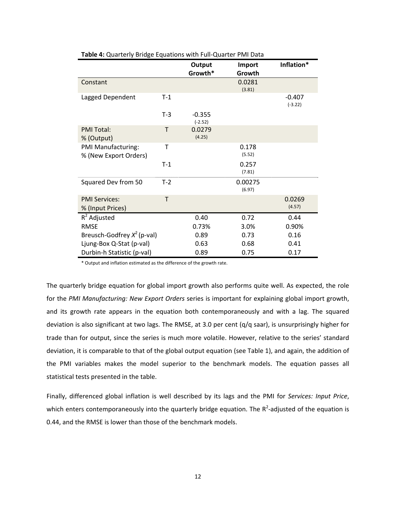|                                             |       | Output<br>Growth*     | Import<br>Growth  | Inflation*            |
|---------------------------------------------|-------|-----------------------|-------------------|-----------------------|
| Constant                                    |       |                       | 0.0281<br>(3.81)  |                       |
| Lagged Dependent                            | $T-1$ |                       |                   | $-0.407$<br>$(-3.22)$ |
|                                             | $T-3$ | $-0.355$<br>$(-2.52)$ |                   |                       |
| <b>PMI Total:</b><br>% (Output)             | T     | 0.0279<br>(4.25)      |                   |                       |
| PMI Manufacturing:<br>% (New Export Orders) | Τ     |                       | 0.178<br>(5.52)   |                       |
|                                             | $T-1$ |                       | 0.257<br>(7.81)   |                       |
| Squared Dev from 50                         | $T-2$ |                       | 0.00275<br>(6.97) |                       |
| <b>PMI Services:</b><br>% (Input Prices)    | T     |                       |                   | 0.0269<br>(4.57)      |
| $R^2$ Adjusted                              |       | 0.40                  | 0.72              | 0.44                  |
| <b>RMSE</b>                                 |       | 0.73%                 | 3.0%              | 0.90%                 |
| Breusch-Godfrey $X^2$ (p-val)               |       | 0.89                  | 0.73              | 0.16                  |
| Ljung-Box Q-Stat (p-val)                    |       | 0.63                  | 0.68              | 0.41                  |
| Durbin-h Statistic (p-val)                  |       | 0.89                  | 0.75              | 0.17                  |

**Table 4:** Quarterly Bridge Equations with Full‐Quarter PMI Data

\* Output and inflation estimated as the difference of the growth rate.

The quarterly bridge equation for global import growth also performs quite well. As expected, the role for the *PMI Manufacturing: New Export Orders* series is important for explaining global import growth, and its growth rate appears in the equation both contemporaneously and with a lag. The squared deviation is also significant at two lags. The RMSE, at 3.0 per cent (q/q saar), is unsurprisingly higher for trade than for output, since the series is much more volatile. However, relative to the series' standard deviation, it is comparable to that of the global output equation (see Table 1), and again, the addition of the PMI variables makes the model superior to the benchmark models. The equation passes all statistical tests presented in the table.

Finally, differenced global inflation is well described by its lags and the PMI for *Services: Input Price*, which enters contemporaneously into the quarterly bridge equation. The  $R^2$ -adjusted of the equation is 0.44, and the RMSE is lower than those of the benchmark models.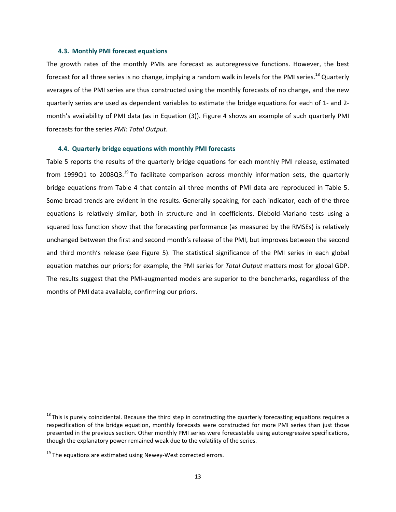#### **4.3. Monthly PMI forecast equations**

The growth rates of the monthly PMIs are forecast as autoregressive functions. However, the best forecast for all three series is no change, implying a random walk in levels for the PMI series.<sup>18</sup> Quarterly averages of the PMI series are thus constructed using the monthly forecasts of no change, and the new quarterly series are used as dependent variables to estimate the bridge equations for each of 1‐ and 2‐ month's availability of PMI data (as in Equation (3)). Figure 4 shows an example of such quarterly PMI forecasts for the series *PMI: Total Output*.

#### **4.4. Quarterly bridge equations with monthly PMI forecasts**

Table 5 reports the results of the quarterly bridge equations for each monthly PMI release, estimated from 1999Q1 to 2008Q3.<sup>19</sup> To facilitate comparison across monthly information sets, the quarterly bridge equations from Table 4 that contain all three months of PMI data are reproduced in Table 5. Some broad trends are evident in the results. Generally speaking, for each indicator, each of the three equations is relatively similar, both in structure and in coefficients. Diebold‐Mariano tests using a squared loss function show that the forecasting performance (as measured by the RMSEs) is relatively unchanged between the first and second month's release of the PMI, but improves between the second and third month's release (see Figure 5). The statistical significance of the PMI series in each global equation matches our priors; for example, the PMI series for *Total Output* matters most for global GDP. The results suggest that the PMI‐augmented models are superior to the benchmarks, regardless of the months of PMI data available, confirming our priors.

 $18$  This is purely coincidental. Because the third step in constructing the quarterly forecasting equations requires a respecification of the bridge equation, monthly forecasts were constructed for more PMI series than just those presented in the previous section. Other monthly PMI series were forecastable using autoregressive specifications, though the explanatory power remained weak due to the volatility of the series.

 $19$  The equations are estimated using Newey-West corrected errors.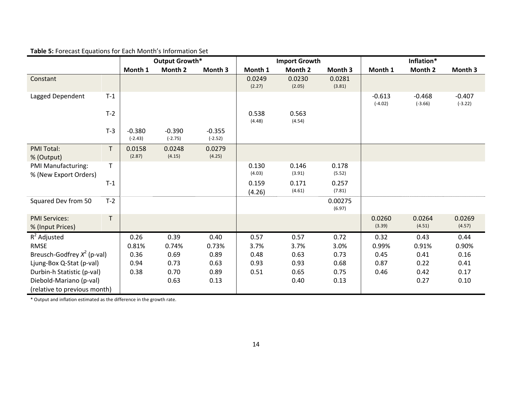| <b>Table 5: Forecast Equations for Each Month's Information Set</b> |  |  |  |
|---------------------------------------------------------------------|--|--|--|
|---------------------------------------------------------------------|--|--|--|

|                                             |              | Output Growth*        |                       | <b>Import Growth</b>  |                  |                  | Inflation*        |                       |                       |                       |
|---------------------------------------------|--------------|-----------------------|-----------------------|-----------------------|------------------|------------------|-------------------|-----------------------|-----------------------|-----------------------|
|                                             |              | Month 1               | Month 2               | Month 3               | Month 1          | Month 2          | Month 3           | Month 1               | Month 2               | Month 3               |
| Constant                                    |              |                       |                       |                       | 0.0249<br>(2.27) | 0.0230<br>(2.05) | 0.0281<br>(3.81)  |                       |                       |                       |
| Lagged Dependent                            | $T-1$        |                       |                       |                       |                  |                  |                   | $-0.613$<br>$(-4.02)$ | $-0.468$<br>$(-3.66)$ | $-0.407$<br>$(-3.22)$ |
|                                             | $T-2$        |                       |                       |                       | 0.538<br>(4.48)  | 0.563<br>(4.54)  |                   |                       |                       |                       |
|                                             | $T-3$        | $-0.380$<br>$(-2.43)$ | $-0.390$<br>$(-2.75)$ | $-0.355$<br>$(-2.52)$ |                  |                  |                   |                       |                       |                       |
| <b>PMI Total:</b><br>% (Output)             | T            | 0.0158<br>(2.87)      | 0.0248<br>(4.15)      | 0.0279<br>(4.25)      |                  |                  |                   |                       |                       |                       |
| PMI Manufacturing:<br>% (New Export Orders) | $\mathsf{T}$ |                       |                       |                       | 0.130<br>(4.03)  | 0.146<br>(3.91)  | 0.178<br>(5.52)   |                       |                       |                       |
|                                             | $T-1$        |                       |                       |                       | 0.159<br>(4.26)  | 0.171<br>(4.61)  | 0.257<br>(7.81)   |                       |                       |                       |
| Squared Dev from 50                         | $T-2$        |                       |                       |                       |                  |                  | 0.00275<br>(6.97) |                       |                       |                       |
| <b>PMI Services:</b><br>% (Input Prices)    | T            |                       |                       |                       |                  |                  |                   | 0.0260<br>(3.39)      | 0.0264<br>(4.51)      | 0.0269<br>(4.57)      |
| $R^2$ Adjusted                              |              | 0.26                  | 0.39                  | 0.40                  | 0.57             | 0.57             | 0.72              | 0.32                  | 0.43                  | 0.44                  |
| <b>RMSE</b>                                 |              | 0.81%                 | 0.74%                 | 0.73%                 | 3.7%             | 3.7%             | 3.0%              | 0.99%                 | 0.91%                 | 0.90%                 |
| Breusch-Godfrey $X^2$ (p-val)               |              | 0.36                  | 0.69                  | 0.89                  | 0.48             | 0.63             | 0.73              | 0.45                  | 0.41                  | 0.16                  |
| Ljung-Box Q-Stat (p-val)                    |              | 0.94                  | 0.73                  | 0.63                  | 0.93             | 0.93             | 0.68              | 0.87                  | 0.22                  | 0.41                  |
| Durbin-h Statistic (p-val)                  |              | 0.38                  | 0.70                  | 0.89                  | 0.51             | 0.65             | 0.75              | 0.46                  | 0.42                  | 0.17                  |
| Diebold-Mariano (p-val)                     |              |                       | 0.63                  | 0.13                  |                  | 0.40             | 0.13              |                       | 0.27                  | 0.10                  |
| (relative to previous month)                |              |                       |                       |                       |                  |                  |                   |                       |                       |                       |

\* Output and inflation estimated as the difference in the growth rate.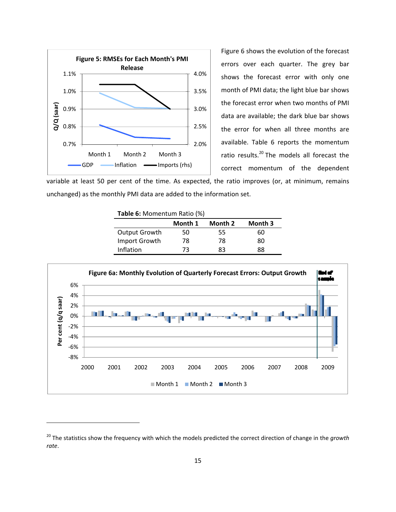

<u> 1989 - Johann Barn, mars ann an t-Amhain an t-Amhain an t-Amhain an t-Amhain an t-Amhain an t-Amhain an t-Amh</u>

Figure 6 shows the evolution of the forecast errors over each quarter. The grey bar shows the forecast error with only one month of PMI data; the light blue bar shows the forecast error when two months of PMI data are available; the dark blue bar shows the error for when all three months are available. Table 6 reports the momentum ratio results.<sup>20</sup> The models all forecast the correct momentum of the dependent

variable at least 50 per cent of the time. As expected, the ratio improves (or, at minimum, remains unchanged) as the monthly PMI data are added to the information set.

| <b>Table 6:</b> Momentum Ratio (%) |         |         |         |  |
|------------------------------------|---------|---------|---------|--|
|                                    | Month 1 | Month 2 | Month 3 |  |
| Output Growth                      | 50      | 55      | 60      |  |
| Import Growth                      | 78      | 78      | 80      |  |
| Inflation                          | 73      | 83      | 88      |  |



<sup>20</sup> The statistics show the frequency with which the models predicted the correct direction of change in the *growth rate*.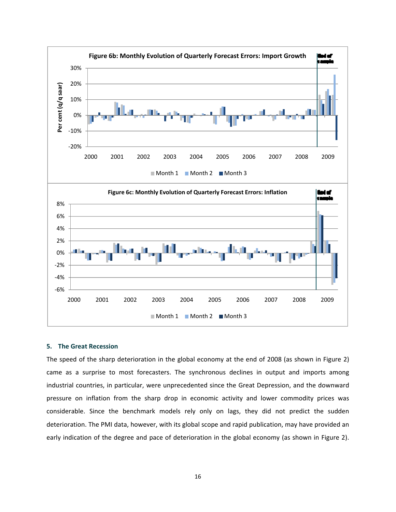

#### **5. The Great Recession**

The speed of the sharp deterioration in the global economy at the end of 2008 (as shown in Figure 2) came as a surprise to most forecasters. The synchronous declines in output and imports among industrial countries, in particular, were unprecedented since the Great Depression, and the downward pressure on inflation from the sharp drop in economic activity and lower commodity prices was considerable. Since the benchmark models rely only on lags, they did not predict the sudden deterioration. The PMI data, however, with its global scope and rapid publication, may have provided an early indication of the degree and pace of deterioration in the global economy (as shown in Figure 2).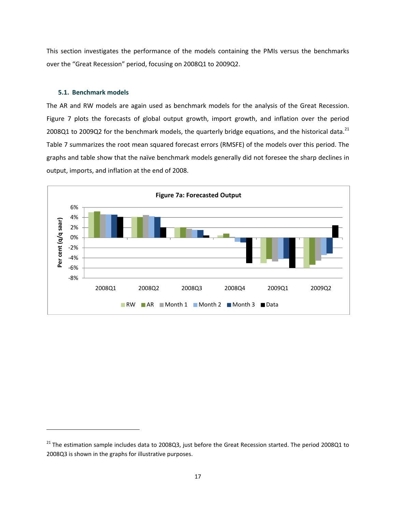This section investigates the performance of the models containing the PMIs versus the benchmarks over the "Great Recession" period, focusing on 2008Q1 to 2009Q2.

#### **5.1. Benchmark models**

The AR and RW models are again used as benchmark models for the analysis of the Great Recession. Figure 7 plots the forecasts of global output growth, import growth, and inflation over the period 2008Q1 to 2009Q2 for the benchmark models, the quarterly bridge equations, and the historical data.<sup>21</sup> Table 7 summarizes the root mean squared forecast errors (RMSFE) of the models over this period. The graphs and table show that the naïve benchmark models generally did not foresee the sharp declines in output, imports, and inflation at the end of 2008.



 $21$  The estimation sample includes data to 2008Q3, just before the Great Recession started. The period 2008Q1 to 2008Q3 is shown in the graphs for illustrative purposes.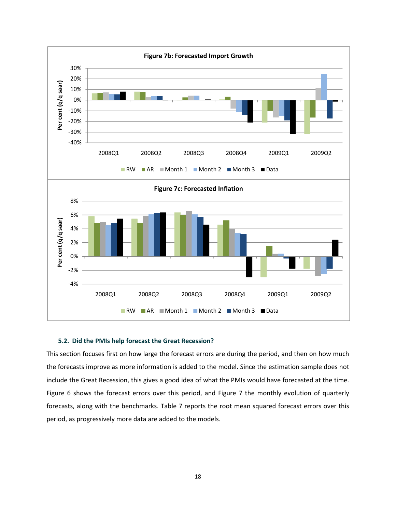

#### **5.2. Did the PMIs help forecast the Great Recession?**

This section focuses first on how large the forecast errors are during the period, and then on how much the forecasts improve as more information is added to the model. Since the estimation sample does not include the Great Recession, this gives a good idea of what the PMIs would have forecasted at the time. Figure 6 shows the forecast errors over this period, and Figure 7 the monthly evolution of quarterly forecasts, along with the benchmarks. Table 7 reports the root mean squared forecast errors over this period, as progressively more data are added to the models.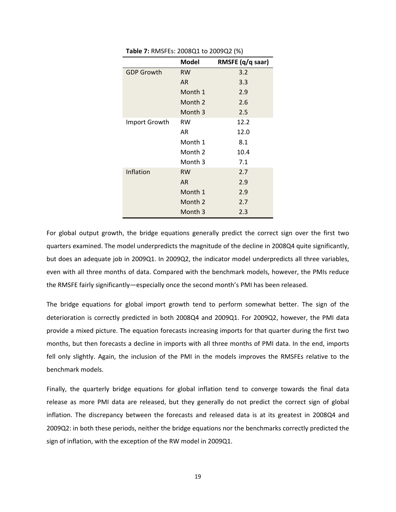|                   | Model     | RMSFE (q/q saar) |
|-------------------|-----------|------------------|
| <b>GDP Growth</b> | <b>RW</b> | 3.2              |
|                   | AR.       | 3.3              |
|                   | Month 1   | 2.9              |
|                   | Month 2   | 2.6              |
|                   | Month 3   | 2.5              |
| Import Growth     | <b>RW</b> | 12.2             |
|                   | AR        | 12.0             |
|                   | Month 1   | 8.1              |
|                   | Month 2   | 10.4             |
|                   | Month 3   | 7.1              |
| Inflation         | <b>RW</b> | 2.7              |
|                   | <b>AR</b> | 2.9              |
|                   | Month 1   | 2.9              |
|                   | Month 2   | 2.7              |
|                   | Month 3   | 2.3              |

**Table 7:** RMSFEs: 2008Q1 to 2009Q2 (%)

For global output growth, the bridge equations generally predict the correct sign over the first two quarters examined. The model underpredicts the magnitude of the decline in 2008Q4 quite significantly, but does an adequate job in 2009Q1. In 2009Q2, the indicator model underpredicts all three variables, even with all three months of data. Compared with the benchmark models, however, the PMIs reduce the RMSFE fairly significantly—especially once the second month's PMI has been released.

The bridge equations for global import growth tend to perform somewhat better. The sign of the deterioration is correctly predicted in both 2008Q4 and 2009Q1. For 2009Q2, however, the PMI data provide a mixed picture. The equation forecasts increasing imports for that quarter during the first two months, but then forecasts a decline in imports with all three months of PMI data. In the end, imports fell only slightly. Again, the inclusion of the PMI in the models improves the RMSFEs relative to the benchmark models.

Finally, the quarterly bridge equations for global inflation tend to converge towards the final data release as more PMI data are released, but they generally do not predict the correct sign of global inflation. The discrepancy between the forecasts and released data is at its greatest in 2008Q4 and 2009Q2: in both these periods, neither the bridge equations nor the benchmarks correctly predicted the sign of inflation, with the exception of the RW model in 2009Q1.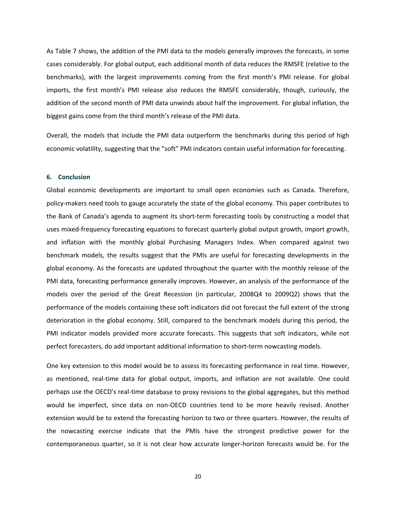As Table 7 shows, the addition of the PMI data to the models generally improves the forecasts, in some cases considerably. For global output, each additional month of data reduces the RMSFE (relative to the benchmarks), with the largest improvements coming from the first month's PMI release. For global imports, the first month's PMI release also reduces the RMSFE considerably, though, curiously, the addition of the second month of PMI data unwinds about half the improvement. For global inflation, the biggest gains come from the third month's release of the PMI data.

Overall, the models that include the PMI data outperform the benchmarks during this period of high economic volatility, suggesting that the "soft" PMI indicators contain useful information for forecasting.

#### **6. Conclusion**

Global economic developments are important to small open economies such as Canada. Therefore, policy‐makers need tools to gauge accurately the state of the global economy. This paper contributes to the Bank of Canada's agenda to augment its short-term forecasting tools by constructing a model that uses mixed‐frequency forecasting equations to forecast quarterly global output growth, import growth, and inflation with the monthly global Purchasing Managers Index. When compared against two benchmark models, the results suggest that the PMIs are useful for forecasting developments in the global economy. As the forecasts are updated throughout the quarter with the monthly release of the PMI data, forecasting performance generally improves. However, an analysis of the performance of the models over the period of the Great Recession (in particular, 2008Q4 to 2009Q2) shows that the performance of the models containing these soft indicators did not forecast the full extent of the strong deterioration in the global economy. Still, compared to the benchmark models during this period, the PMI indicator models provided more accurate forecasts. This suggests that soft indicators, while not perfect forecasters, do add important additional information to short‐term nowcasting models.

One key extension to this model would be to assess its forecasting performance in real time. However, as mentioned, real‐time data for global output, imports, and inflation are not available. One could perhaps use the OECD's real‐time database to proxy revisions to the global aggregates, but this method would be imperfect, since data on non-OECD countries tend to be more heavily revised. Another extension would be to extend the forecasting horizon to two or three quarters. However, the results of the nowcasting exercise indicate that the PMIs have the strongest predictive power for the contemporaneous quarter, so it is not clear how accurate longer‐horizon forecasts would be. For the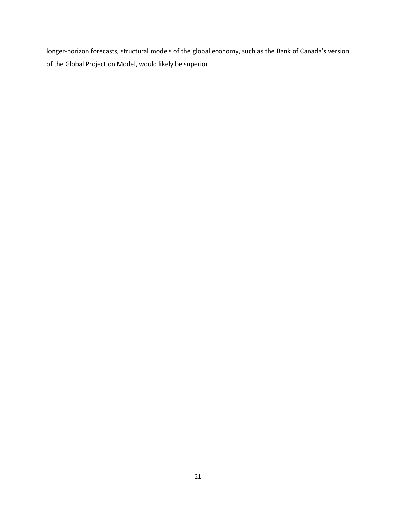longer-horizon forecasts, structural models of the global economy, such as the Bank of Canada's version of the Global Projection Model, would likely be superior.